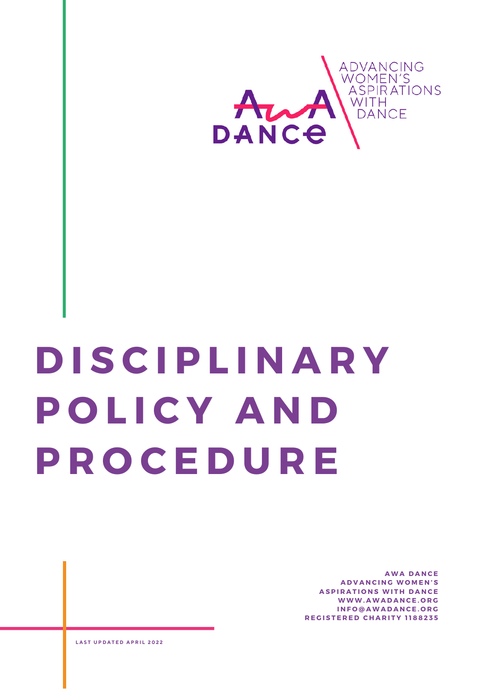

# **D I S C I P L I N A R Y P O L I C Y A N D P R O C E D U R E**

**A W A D A N C E A D V A N C I N G W O M E N ' S ASPIRATIONS WITH DANCE W W W .A W A D A N C E . O R G I N F O @ A W A D A N C E . O R G R E G I S T E R E D C H A R I T Y 1 1 8 8 2 3 5**

**L A S T U P D A T E D A P R I L 2 0 2 2**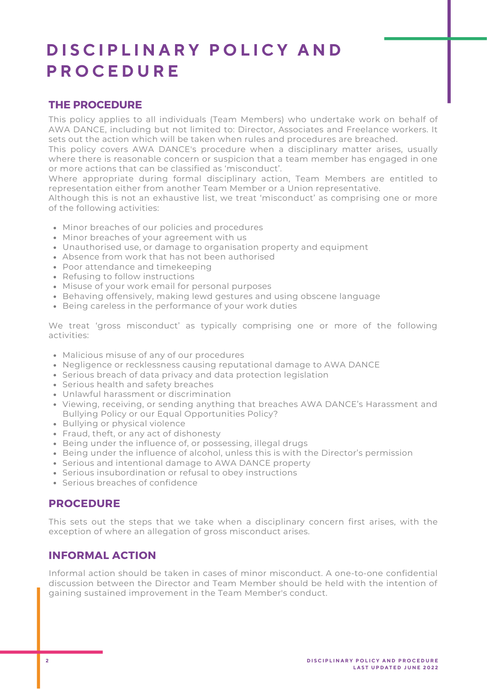# **D I S C I P L I N A R Y P O L I C Y A N D P R O C E D U R E**

# **THE PROCEDURE**

This policy applies to all individuals (Team Members) who undertake work on behalf of AWA DANCE, including but not limited to: Director, Associates and Freelance workers. It sets out the action which will be taken when rules and procedures are breached.

This policy covers AWA DANCE's procedure when a disciplinary matter arises, usually where there is reasonable concern or suspicion that a team member has engaged in one or more actions that can be classified as 'misconduct' .

Where appropriate during formal disciplinary action, Team Members are entitled to representation either from another Team Member or a Union representative.

Although this is not an exhaustive list, we treat 'misconduct' as comprising one or more of the following activities:

- Minor breaches of our policies and procedures
- Minor breaches of your agreement with us
- Unauthorised use, or damage to organisation property and equipment
- Absence from work that has not been authorised
- Poor attendance and timekeeping
- Refusing to follow instructions
- Misuse of your work email for personal purposes
- Behaving offensively, making lewd gestures and using obscene language
- Being careless in the performance of your work duties

We treat 'gross misconduct' as typically comprising one or more of the following activities:

- Malicious misuse of any of our procedures
- Negligence or recklessness causing reputational damage to AWA DANCE
- Serious breach of data privacy and data protection legislation
- Serious health and safety breaches
- Unlawful harassment or discrimination
- Viewing, receiving, or sending anything that breaches AWA DANCE's Harassment and Bullying Policy or our Equal Opportunities Policy?
- Bullying or physical violence
- Fraud, theft, or any act of dishonesty
- Being under the influence of, or possessing, illegal drugs
- Being under the influence of alcohol, unless this is with the Director's permission
- Serious and intentional damage to AWA DANCE property
- Serious insubordination or refusal to obey instructions
- Serious breaches of confidence

# **PROCEDURE**

This sets out the steps that we take when a disciplinary concern first arises, with the exception of where an allegation of gross misconduct arises.

# **INFORMAL ACTION**

Informal action should be taken in cases of minor misconduct. A one-to-one confidential discussion between the Director and Team Member should be held with the intention of gaining sustained improvement in the Team Member's conduct.